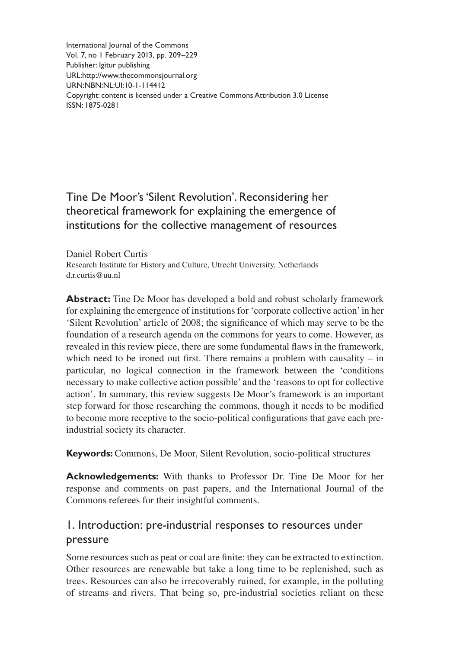International Journal of the Commons Vol. 7, no 1 February 2013, pp. 209–229 Publisher: Igitur publishing URL[:http://www.thecommonsjournal.org](http://www.thecommonsjournal.org) URN:NBN:NL:UI:10-1-114412 Copyright: content is licensed under a Creative Commons Attribution 3.0 License ISSN: 1875-0281

# Tine De Moor's 'Silent Revolution'. Reconsidering her theoretical framework for explaining the emergence of institutions for the collective management of resources

Daniel Robert Curtis Research Institute for History and Culture, Utrecht University, Netherlands d.r.curtis@uu.nl

**Abstract:** Tine De Moor has developed a bold and robust scholarly framework for explaining the emergence of institutions for 'corporate collective action' in her 'Silent Revolution' article of 2008; the significance of which may serve to be the foundation of a research agenda on the commons for years to come. However, as revealed in this review piece, there are some fundamental flaws in the framework, which need to be ironed out first. There remains a problem with causality – in particular, no logical connection in the framework between the 'conditions necessary to make collective action possible' and the 'reasons to opt for collective action'. In summary, this review suggests De Moor's framework is an important step forward for those researching the commons, though it needs to be modified to become more receptive to the socio-political configurations that gave each preindustrial society its character.

**Keywords:** Commons, De Moor, Silent Revolution, socio-political structures

**Acknowledgements:** With thanks to Professor Dr. Tine De Moor for her response and comments on past papers, and the International Journal of the Commons referees for their insightful comments.

# 1. Introduction: pre-industrial responses to resources under pressure

Some resources such as peat or coal are finite: they can be extracted to extinction. Other resources are renewable but take a long time to be replenished, such as trees. Resources can also be irrecoverably ruined, for example, in the polluting of streams and rivers. That being so, pre-industrial societies reliant on these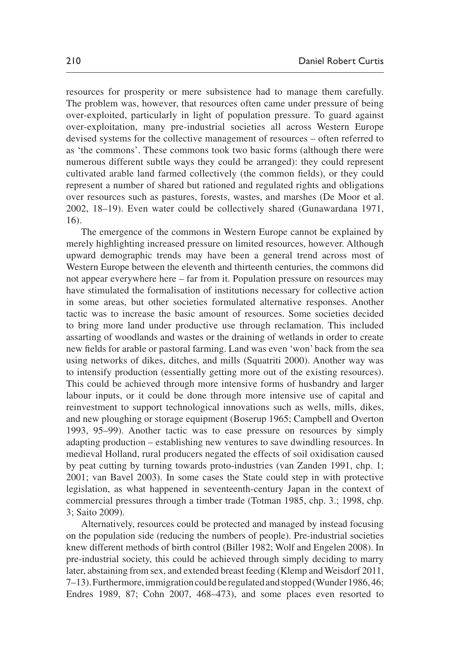resources for prosperity or mere subsistence had to manage them carefully. The problem was, however, that resources often came under pressure of being over-exploited, particularly in light of population pressure. To guard against over-exploitation, many pre-industrial societies all across Western Europe devised systems for the collective management of resources – often referred to as 'the commons'. These commons took two basic forms (although there were numerous different subtle ways they could be arranged): they could represent cultivated arable land farmed collectively (the common fields), or they could represent a number of shared but rationed and regulated rights and obligations over resources such as pastures, forests, wastes, and marshes ([De Moor et al.](#page-15-0) [2002](#page-15-0), 18–19). Even water could be collectively shared [\(Gunawardana 1971](#page-15-1), 16).

The emergence of the commons in Western Europe cannot be explained by merely highlighting increased pressure on limited resources, however. Although upward demographic trends may have been a general trend across most of Western Europe between the eleventh and thirteenth centuries, the commons did not appear everywhere here – far from it. Population pressure on resources may have stimulated the formalisation of institutions necessary for collective action in some areas, but other societies formulated alternative responses. Another tactic was to increase the basic amount of resources. Some societies decided to bring more land under productive use through reclamation. This included assarting of woodlands and wastes or the draining of wetlands in order to create new fields for arable or pastoral farming. Land was even 'won' back from the sea using networks of dikes, ditches, and mills [\(Squatriti 2000\)](#page-18-0). Another way was to intensify production (essentially getting more out of the existing resources). This could be achieved through more intensive forms of husbandry and larger labour inputs, or it could be done through more intensive use of capital and reinvestment to support technological innovations such as wells, mills, dikes, and new ploughing or storage equipment ([Boserup 1965](#page-13-0); [Campbell and Overton](#page-14-0) [1993](#page-14-0), 95–99). Another tactic was to ease pressure on resources by simply adapting production – establishing new ventures to save dwindling resources. In medieval Holland, rural producers negated the effects of soil oxidisation caused by peat cutting by turning towards proto-industries ([van Zanden 1991,](#page-19-0) chp. 1; 2001; [van Bavel 2003\)](#page-19-1). In some cases the State could step in with protective legislation, as what happened in seventeenth-century Japan in the context of commercial pressures through a timber trade ([Totman 1985](#page-19-2), chp. 3.; [1998](#page-19-3), chp. 3; [Saito 2009\)](#page-18-1).

Alternatively, resources could be protected and managed by instead focusing on the population side (reducing the numbers of people). Pre-industrial societies knew different methods of birth control [\(Biller 1982;](#page-13-1) [Wolf and Engelen 2008\)](#page-20-0). In pre-industrial society, this could be achieved through simply deciding to marry later, abstaining from sex, and extended breast feeding [\(Klemp and Weisdorf 2011](#page-16-0), 7–13). Furthermore, immigration could be regulated and stopped [\(Wunder 1986,](#page-20-1) 46; [Endres 1989](#page-15-2), 87; [Cohn 2007](#page-14-1), 468–473), and some places even resorted to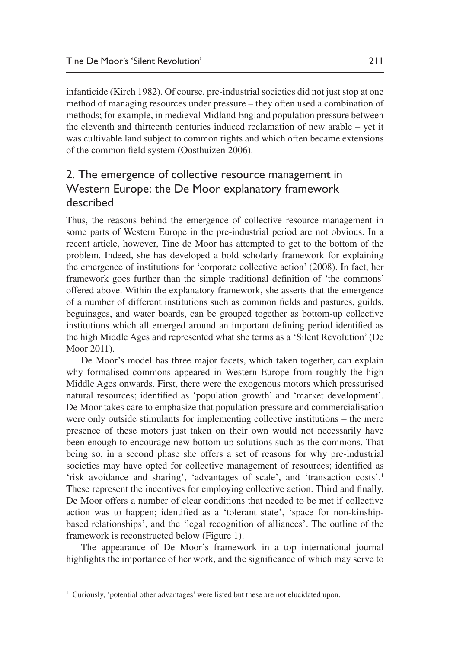infanticide [\(Kirch 1982](#page-16-1)). Of course, pre-industrial societies did not just stop at one method of managing resources under pressure – they often used a combination of methods; for example, in medieval Midland England population pressure between the eleventh and thirteenth centuries induced reclamation of new arable – yet it was cultivable land subject to common rights and which often became extensions of the common field system ([Oosthuizen 2006](#page-17-0)).

### 2. The emergence of collective resource management in Western Europe: the De Moor explanatory framework described

Thus, the reasons behind the emergence of collective resource management in some parts of Western Europe in the pre-industrial period are not obvious. In a recent article, however, Tine de Moor has attempted to get to the bottom of the problem. Indeed, she has developed a bold scholarly framework for explaining the emergence of institutions for 'corporate collective action' (2008). In fact, her framework goes further than the simple traditional definition of 'the commons' offered above. Within the explanatory framework, she asserts that the emergence of a number of different institutions such as common fields and pastures, guilds, beguinages, and water boards, can be grouped together as bottom-up collective institutions which all emerged around an important defining period identified as the high Middle Ages and represented what she terms as a 'Silent Revolution' ([De](#page-15-3)  [Moor 2011\)](#page-15-3).

De Moor's model has three major facets, which taken together, can explain why formalised commons appeared in Western Europe from roughly the high Middle Ages onwards. First, there were the exogenous motors which pressurised natural resources; identified as 'population growth' and 'market development'. De Moor takes care to emphasize that population pressure and commercialisation were only outside stimulants for implementing collective institutions – the mere presence of these motors just taken on their own would not necessarily have been enough to encourage new bottom-up solutions such as the commons. That being so, in a second phase she offers a set of reasons for why pre-industrial societies may have opted for collective management of resources; identified as 'risk avoidance and sharing', 'advantages of scale', and 'transaction costs'.1 These represent the incentives for employing collective action. Third and finally, De Moor offers a number of clear conditions that needed to be met if collective action was to happen; identified as a 'tolerant state', 'space for non-kinshipbased relationships', and the 'legal recognition of alliances'. The outline of the framework is reconstructed below [\(Figure 1](#page-3-0)).

The appearance of De Moor's framework in a top international journal highlights the importance of her work, and the significance of which may serve to

<sup>&</sup>lt;sup>1</sup> Curiously, 'potential other advantages' were listed but these are not elucidated upon.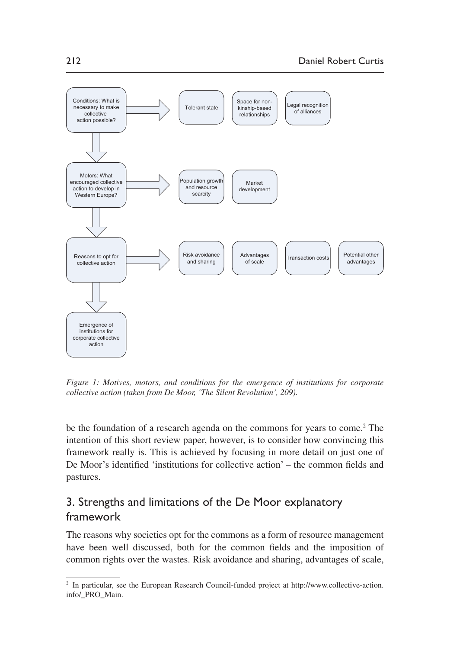

<span id="page-3-0"></span>*Figure 1: Motives, motors, and conditions for the emergence of institutions for corporate collective action (taken from De Moor, 'The Silent Revolution', 209).*

be the foundation of a research agenda on the commons for years to come.<sup>2</sup> The intention of this short review paper, however, is to consider how convincing this framework really is. This is achieved by focusing in more detail on just one of De Moor's identified 'institutions for collective action' – the common fields and pastures.

# 3. Strengths and limitations of the De Moor explanatory framework

The reasons why societies opt for the commons as a form of resource management have been well discussed, both for the common fields and the imposition of common rights over the wastes. Risk avoidance and sharing, advantages of scale,

<sup>&</sup>lt;sup>2</sup> In particular, see the European Research Council-funded project at [http://www.collective-action.](http://www.collective-action.info/_PRO_Main) [info/\\_PRO\\_Main.](http://www.collective-action.info/_PRO_Main)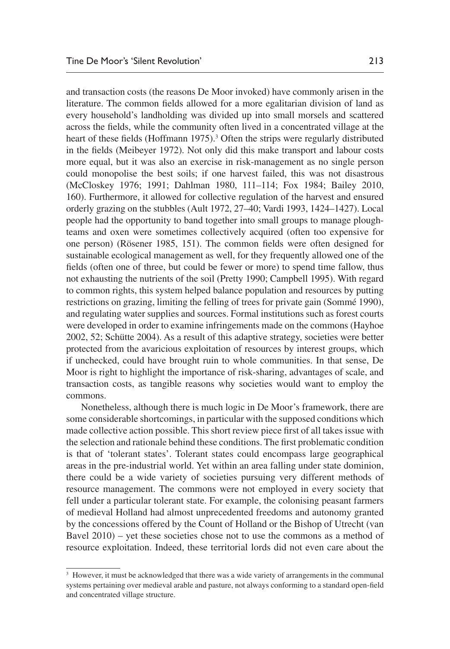and transaction costs (the reasons De Moor invoked) have commonly arisen in the literature. The common fields allowed for a more egalitarian division of land as every household's landholding was divided up into small morsels and scattered across the fields, while the community often lived in a concentrated village at the heart of these fields ([Hoffmann 1975\)](#page-16-2).<sup>3</sup> Often the strips were regularly distributed in the fields [\(Meibeyer 1972](#page-17-1)). Not only did this make transport and labour costs more equal, but it was also an exercise in risk-management as no single person could monopolise the best soils; if one harvest failed, this was not disastrous [\(McCloskey 1976;](#page-17-2) [1991](#page-17-3); [Dahlman 1980](#page-14-2), 111–114; [Fox 1984](#page-15-4); [Bailey 2010](#page-13-2), 160). Furthermore, it allowed for collective regulation of the harvest and ensured orderly grazing on the stubbles [\(Ault 1972,](#page-13-3) 27–40; [Vardi 1993](#page-20-2), 1424–1427). Local people had the opportunity to band together into small groups to manage ploughteams and oxen were sometimes collectively acquired (often too expensive for one person) ([Rösener 1985,](#page-18-2) 151). The common fields were often designed for sustainable ecological management as well, for they frequently allowed one of the fields (often one of three, but could be fewer or more) to spend time fallow, thus not exhausting the nutrients of the soil ([Pretty 1990;](#page-18-3) [Campbell 1995](#page-13-4)). With regard to common rights, this system helped balance population and resources by putting restrictions on grazing, limiting the felling of trees for private gain ([Sommé 1990\)](#page-18-4), and regulating water supplies and sources. Formal institutions such as forest courts were developed in order to examine infringements made on the commons ([Hayhoe](#page-16-3)  [2002,](#page-16-3) 52; [Schütte 2004](#page-18-5)). As a result of this adaptive strategy, societies were better protected from the avaricious exploitation of resources by interest groups, which if unchecked, could have brought ruin to whole communities. In that sense, De Moor is right to highlight the importance of risk-sharing, advantages of scale, and transaction costs, as tangible reasons why societies would want to employ the commons.

Nonetheless, although there is much logic in De Moor's framework, there are some considerable shortcomings, in particular with the supposed conditions which made collective action possible. This short review piece first of all takes issue with the selection and rationale behind these conditions. The first problematic condition is that of 'tolerant states'. Tolerant states could encompass large geographical areas in the pre-industrial world. Yet within an area falling under state dominion, there could be a wide variety of societies pursuing very different methods of resource management. The commons were not employed in every society that fell under a particular tolerant state. For example, the colonising peasant farmers of medieval Holland had almost unprecedented freedoms and autonomy granted by the concessions offered by the Count of Holland or the Bishop of Utrecht ([van](#page-19-4)  [Bavel 2010\)](#page-19-4) – yet these societies chose not to use the commons as a method of resource exploitation. Indeed, these territorial lords did not even care about the

<sup>&</sup>lt;sup>3</sup> However, it must be acknowledged that there was a wide variety of arrangements in the communal systems pertaining over medieval arable and pasture, not always conforming to a standard open-field and concentrated village structure.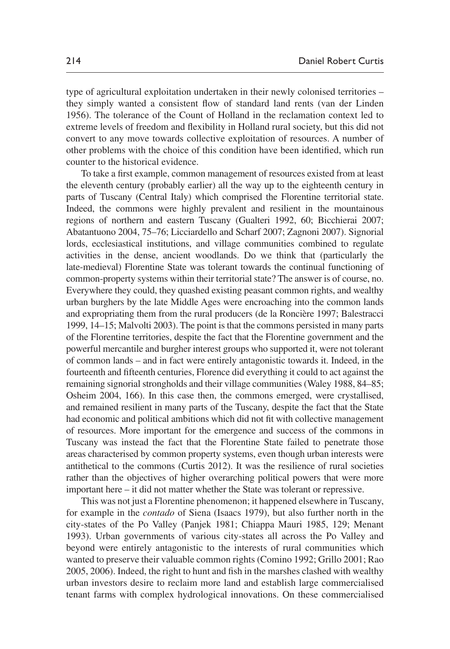type of agricultural exploitation undertaken in their newly colonised territories – they simply wanted a consistent flow of standard land rents ([van der Linden](#page-19-5)  [1956\)](#page-19-5). The tolerance of the Count of Holland in the reclamation context led to extreme levels of freedom and flexibility in Holland rural society, but this did not convert to any move towards collective exploitation of resources. A number of other problems with the choice of this condition have been identified, which run counter to the historical evidence.

To take a first example, common management of resources existed from at least the eleventh century (probably earlier) all the way up to the eighteenth century in parts of Tuscany (Central Italy) which comprised the Florentine territorial state. Indeed, the commons were highly prevalent and resilient in the mountainous regions of northern and eastern Tuscany ([Gualteri 1992,](#page-15-5) 60; [Bicchierai 2007](#page-13-5); [Abatantuono 2004](#page-13-6), 75–76; [Licciardello and Scharf 2007](#page-16-4); [Zagnoni 2007\)](#page-20-3). Signorial lords, ecclesiastical institutions, and village communities combined to regulate activities in the dense, ancient woodlands. Do we think that (particularly the late-medieval) Florentine State was tolerant towards the continual functioning of common-property systems within their territorial state? The answer is of course, no. Everywhere they could, they quashed existing peasant common rights, and wealthy urban burghers by the late Middle Ages were encroaching into the common lands and expropriating them from the rural producers ([de la Roncière 1997;](#page-14-3) [Balestracci](#page-13-7) [1999](#page-13-7), 14–15; [Malvolti 2003\)](#page-16-5). The point is that the commons persisted in many parts of the Florentine territories, despite the fact that the Florentine government and the powerful mercantile and burgher interest groups who supported it, were not tolerant of common lands – and in fact were entirely antagonistic towards it. Indeed, in the fourteenth and fifteenth centuries, Florence did everything it could to act against the remaining signorial strongholds and their village communities [\(Waley 1988,](#page-20-4) 84–85; [Osheim 2004](#page-17-4), 166). In this case then, the commons emerged, were crystallised, and remained resilient in many parts of the Tuscany, despite the fact that the State had economic and political ambitions which did not fit with collective management of resources. More important for the emergence and success of the commons in Tuscany was instead the fact that the Florentine State failed to penetrate those areas characterised by common property systems, even though urban interests were antithetical to the commons [\(Curtis 2012](#page-14-4)). It was the resilience of rural societies rather than the objectives of higher overarching political powers that were more important here – it did not matter whether the State was tolerant or repressive.

This was not just a Florentine phenomenon; it happened elsewhere in Tuscany, for example in the *contado* of Siena ([Isaacs 1979\)](#page-16-6), but also further north in the city-states of the Po Valley ([Panjek 1981;](#page-17-5) [Chiappa Mauri 1985](#page-14-5), 129; [Menant](#page-17-6) [1993\)](#page-17-6). Urban governments of various city-states all across the Po Valley and beyond were entirely antagonistic to the interests of rural communities which wanted to preserve their valuable common rights ([Comino 1992;](#page-14-6) [Grillo 2001](#page-15-6); [Rao](#page-18-6) [2005,](#page-18-6) [2006\)](#page-18-7). Indeed, the right to hunt and fish in the marshes clashed with wealthy urban investors desire to reclaim more land and establish large commercialised tenant farms with complex hydrological innovations. On these commercialised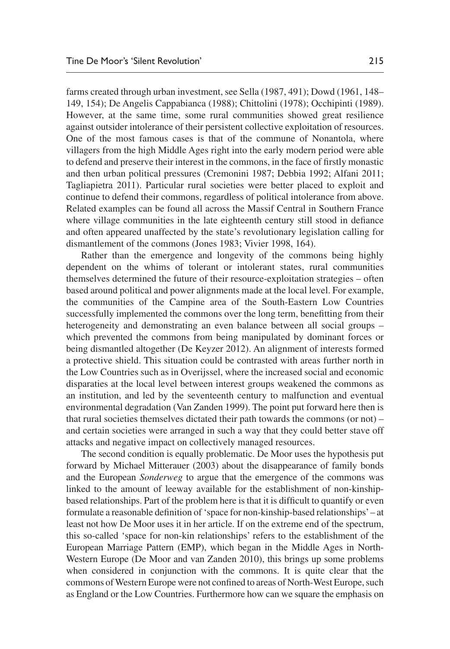farms created through urban investment, see [Sella \(1987](#page-18-8), 491); [Dowd \(1961](#page-15-7), 148– 149, 154); [De Angelis Cappabianca \(1988\)](#page-14-7); [Chittolini \(1978\);](#page-14-8) [Occhipinti \(1989\)](#page-17-7). However, at the same time, some rural communities showed great resilience against outsider intolerance of their persistent collective exploitation of resources. One of the most famous cases is that of the commune of Nonantola, where villagers from the high Middle Ages right into the early modern period were able to defend and preserve their interest in the commons, in the face of firstly monastic and then urban political pressures ([Cremonini 1987;](#page-14-9) [Debbia 1992;](#page-15-8) [Alfani 2011](#page-13-8); [Tagliapietra 2011\)](#page-18-9). Particular rural societies were better placed to exploit and continue to defend their commons, regardless of political intolerance from above. Related examples can be found all across the Massif Central in Southern France where village communities in the late eighteenth century still stood in defiance and often appeared unaffected by the state's revolutionary legislation calling for dismantlement of the commons [\(Jones 1983](#page-16-7); [Vivier 1998](#page-20-5), 164).

Rather than the emergence and longevity of the commons being highly dependent on the whims of tolerant or intolerant states, rural communities themselves determined the future of their resource-exploitation strategies – often based around political and power alignments made at the local level. For example, the communities of the Campine area of the South-Eastern Low Countries successfully implemented the commons over the long term, benefitting from their heterogeneity and demonstrating an even balance between all social groups – which prevented the commons from being manipulated by dominant forces or being dismantled altogether ([De Keyzer 2012\)](#page-14-10). An alignment of interests formed a protective shield. This situation could be contrasted with areas further north in the Low Countries such as in Overijssel, where the increased social and economic disparaties at the local level between interest groups weakened the commons as an institution, and led by the seventeenth century to malfunction and eventual environmental degradation ([Van Zanden 1999](#page-20-6)). The point put forward here then is that rural societies themselves dictated their path towards the commons (or not) – and certain societies were arranged in such a way that they could better stave off attacks and negative impact on collectively managed resources.

The second condition is equally problematic. De Moor uses the hypothesis put forward by [Michael Mitterauer \(2003\)](#page-17-8) about the disappearance of family bonds and the European *Sonderweg* to argue that the emergence of the commons was linked to the amount of leeway available for the establishment of non-kinshipbased relationships. Part of the problem here is that it is difficult to quantify or even formulate a reasonable definition of 'space for non-kinship-based relationships' – at least not how De Moor uses it in her article. If on the extreme end of the spectrum, this so-called 'space for non-kin relationships' refers to the establishment of the European Marriage Pattern (EMP), which began in the Middle Ages in North-Western Europe [\(De Moor and van Zanden 2010](#page-15-9)), this brings up some problems when considered in conjunction with the commons. It is quite clear that the commons of Western Europe were not confined to areas of North-West Europe, such as England or the Low Countries. Furthermore how can we square the emphasis on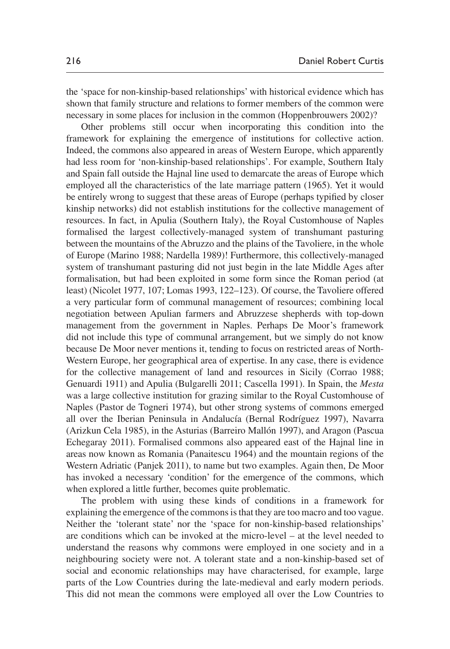the 'space for non-kinship-based relationships' with historical evidence which has shown that family structure and relations to former members of the common were necessary in some places for inclusion in the common [\(Hoppenbrouwers 2002\)](#page-16-8)?

Other problems still occur when incorporating this condition into the framework for explaining the emergence of institutions for collective action. Indeed, the commons also appeared in areas of Western Europe, which apparently had less room for 'non-kinship-based relationships'. For example, Southern Italy and Spain fall outside the Hajnal line used to demarcate the areas of Europe which employed all the characteristics of the late marriage pattern (1965). Yet it would be entirely wrong to suggest that these areas of Europe (perhaps typified by closer kinship networks) did not establish institutions for the collective management of resources. In fact, in Apulia (Southern Italy), the Royal Customhouse of Naples formalised the largest collectively-managed system of transhumant pasturing between the mountains of the Abruzzo and the plains of the Tavoliere, in the whole of Europe [\(Marino 1988](#page-16-9); [Nardella 1989](#page-17-9))! Furthermore, this collectively-managed system of transhumant pasturing did not just begin in the late Middle Ages after formalisation, but had been exploited in some form since the Roman period (at least) [\(Nicolet 1977,](#page-17-10) 107; [Lomas 1993,](#page-16-10) 122–123). Of course, the Tavoliere offered a very particular form of communal management of resources; combining local negotiation between Apulian farmers and Abruzzese shepherds with top-down management from the government in Naples. Perhaps De Moor's framework did not include this type of communal arrangement, but we simply do not know because De Moor never mentions it, tending to focus on restricted areas of North-Western Europe, her geographical area of expertise. In any case, there is evidence for the collective management of land and resources in Sicily ([Corrao 1988](#page-14-11); [Genuardi 1911\)](#page-15-10) and Apulia [\(Bulgarelli 2011;](#page-13-9) [Cascella 1991](#page-14-12)). In Spain, the *Mesta* was a large collective institution for grazing similar to the Royal Customhouse of Naples [\(Pastor de Togneri 1974](#page-17-11)), but other strong systems of commons emerged all over the Iberian Peninsula in Andalucía ([Bernal Rodríguez 1997](#page-13-10)), Navarra [\(Arizkun Cela 1985\)](#page-13-11), in the Asturias [\(Barreiro Mallón 1997](#page-13-12)), and Aragon [\(Pascua](#page-17-12) [Echegaray 2011\)](#page-17-12). Formalised commons also appeared east of the Hajnal line in areas now known as Romania ([Panaitescu 1964\)](#page-17-13) and the mountain regions of the Western Adriatic [\(Panjek 2011](#page-17-14)), to name but two examples. Again then, De Moor has invoked a necessary 'condition' for the emergence of the commons, which when explored a little further, becomes quite problematic.

The problem with using these kinds of conditions in a framework for explaining the emergence of the commons is that they are too macro and too vague. Neither the 'tolerant state' nor the 'space for non-kinship-based relationships' are conditions which can be invoked at the micro-level – at the level needed to understand the reasons why commons were employed in one society and in a neighbouring society were not. A tolerant state and a non-kinship-based set of social and economic relationships may have characterised, for example, large parts of the Low Countries during the late-medieval and early modern periods. This did not mean the commons were employed all over the Low Countries to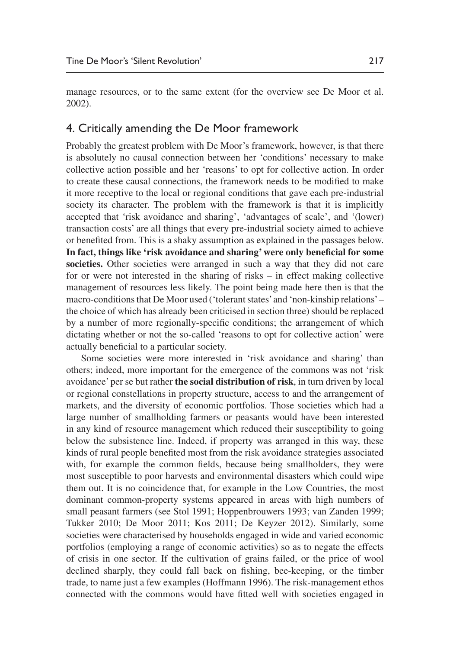manage resources, or to the same extent (for the overview see [De Moor et al.](#page-15-0) [2002\)](#page-15-0).

#### 4. Critically amending the De Moor framework

Probably the greatest problem with De Moor's framework, however, is that there is absolutely no causal connection between her 'conditions' necessary to make collective action possible and her 'reasons' to opt for collective action. In order to create these causal connections, the framework needs to be modified to make it more receptive to the local or regional conditions that gave each pre-industrial society its character. The problem with the framework is that it is implicitly accepted that 'risk avoidance and sharing', 'advantages of scale', and '(lower) transaction costs' are all things that every pre-industrial society aimed to achieve or benefited from. This is a shaky assumption as explained in the passages below. **In fact, things like 'risk avoidance and sharing' were only beneficial for some societies.** Other societies were arranged in such a way that they did not care for or were not interested in the sharing of risks – in effect making collective management of resources less likely. The point being made here then is that the macro-conditions that De Moor used ('tolerant states' and 'non-kinship relations' – the choice of which has already been criticised in section three) should be replaced by a number of more regionally-specific conditions; the arrangement of which dictating whether or not the so-called 'reasons to opt for collective action' were actually beneficial to a particular society.

Some societies were more interested in 'risk avoidance and sharing' than others; indeed, more important for the emergence of the commons was not 'risk avoidance' per se but rather **the social distribution of risk**, in turn driven by local or regional constellations in property structure, access to and the arrangement of markets, and the diversity of economic portfolios. Those societies which had a large number of smallholding farmers or peasants would have been interested in any kind of resource management which reduced their susceptibility to going below the subsistence line. Indeed, if property was arranged in this way, these kinds of rural people benefited most from the risk avoidance strategies associated with, for example the common fields, because being smallholders, they were most susceptible to poor harvests and environmental disasters which could wipe them out. It is no coincidence that, for example in the Low Countries, the most dominant common-property systems appeared in areas with high numbers of small peasant farmers (see [Stol 1991;](#page-18-10) [Hoppenbrouwers 1993;](#page-16-11) [van Zanden 1999](#page-20-6); [Tukker 2010;](#page-19-6) [De Moor 2011;](#page-15-3) [Kos 2011;](#page-16-12) [De Keyzer 2012\)](#page-14-10). Similarly, some societies were characterised by households engaged in wide and varied economic portfolios (employing a range of economic activities) so as to negate the effects of crisis in one sector. If the cultivation of grains failed, or the price of wool declined sharply, they could fall back on fishing, bee-keeping, or the timber trade, to name just a few examples [\(Hoffmann 1996\)](#page-16-13). The risk-management ethos connected with the commons would have fitted well with societies engaged in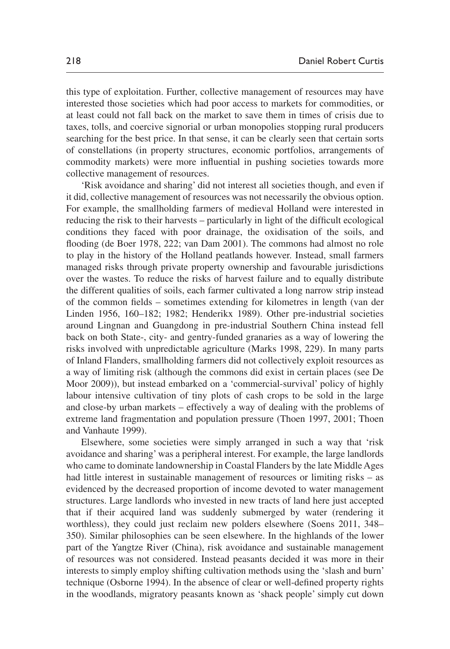this type of exploitation. Further, collective management of resources may have interested those societies which had poor access to markets for commodities, or at least could not fall back on the market to save them in times of crisis due to taxes, tolls, and coercive signorial or urban monopolies stopping rural producers searching for the best price. In that sense, it can be clearly seen that certain sorts of constellations (in property structures, economic portfolios, arrangements of commodity markets) were more influential in pushing societies towards more collective management of resources.

'Risk avoidance and sharing' did not interest all societies though, and even if it did, collective management of resources was not necessarily the obvious option. For example, the smallholding farmers of medieval Holland were interested in reducing the risk to their harvests – particularly in light of the difficult ecological conditions they faced with poor drainage, the oxidisation of the soils, and flooding [\(de Boer 1978,](#page-14-13) 222; [van Dam 2001\)](#page-19-7). The commons had almost no role to play in the history of the Holland peatlands however. Instead, small farmers managed risks through private property ownership and favourable jurisdictions over the wastes. To reduce the risks of harvest failure and to equally distribute the different qualities of soils, each farmer cultivated a long narrow strip instead of the common fields – sometimes extending for kilometres in length ([van der](#page-19-5) [Linden 1956](#page-19-5), 160–182; [1982](#page-19-8); [Henderikx 1989](#page-16-14)). Other pre-industrial societies around Lingnan and Guangdong in pre-industrial Southern China instead fell back on both State-, city- and gentry-funded granaries as a way of lowering the risks involved with unpredictable agriculture [\(Marks 1998](#page-16-15), 229). In many parts of Inland Flanders, smallholding farmers did not collectively exploit resources as a way of limiting risk (although the commons did exist in certain places (see [De](#page-15-11) [Moor 2009](#page-15-11))), but instead embarked on a 'commercial-survival' policy of highly labour intensive cultivation of tiny plots of cash crops to be sold in the large and close-by urban markets – effectively a way of dealing with the problems of extreme land fragmentation and population pressure [\(Thoen 1997](#page-19-9), 2001; [Thoen](#page-19-10) [and Vanhaute 1999](#page-19-10)).

Elsewhere, some societies were simply arranged in such a way that 'risk avoidance and sharing' was a peripheral interest. For example, the large landlords who came to dominate landownership in Coastal Flanders by the late Middle Ages had little interest in sustainable management of resources or limiting risks – as evidenced by the decreased proportion of income devoted to water management structures. Large landlords who invested in new tracts of land here just accepted that if their acquired land was suddenly submerged by water (rendering it worthless), they could just reclaim new polders elsewhere [\(Soens 2011](#page-18-11), 348– 350). Similar philosophies can be seen elsewhere. In the highlands of the lower part of the Yangtze River (China), risk avoidance and sustainable management of resources was not considered. Instead peasants decided it was more in their interests to simply employ shifting cultivation methods using the 'slash and burn' technique ([Osborne 1994\)](#page-17-15). In the absence of clear or well-defined property rights in the woodlands, migratory peasants known as 'shack people' simply cut down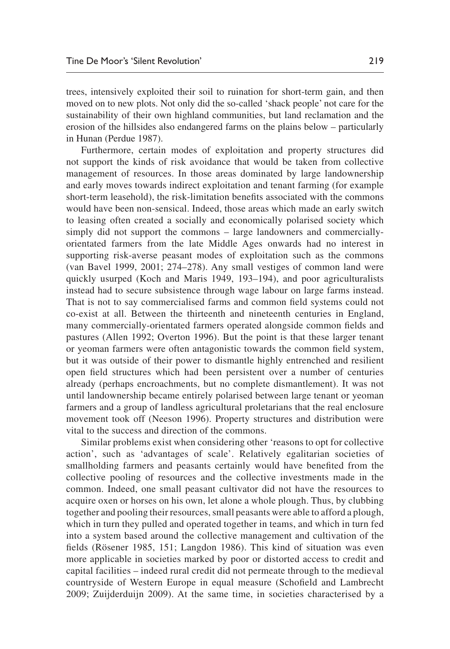trees, intensively exploited their soil to ruination for short-term gain, and then moved on to new plots. Not only did the so-called 'shack people' not care for the sustainability of their own highland communities, but land reclamation and the erosion of the hillsides also endangered farms on the plains below – particularly in Hunan ([Perdue 1987\)](#page-17-16).

Furthermore, certain modes of exploitation and property structures did not support the kinds of risk avoidance that would be taken from collective management of resources. In those areas dominated by large landownership and early moves towards indirect exploitation and tenant farming (for example short-term leasehold), the risk-limitation benefits associated with the commons would have been non-sensical. Indeed, those areas which made an early switch to leasing often created a socially and economically polarised society which simply did not support the commons – large landowners and commerciallyorientated farmers from the late Middle Ages onwards had no interest in supporting risk-averse peasant modes of exploitation such as the commons [\(van Bavel 1999](#page-19-11), [2001](#page-19-12); 274–278). Any small vestiges of common land were quickly usurped [\(Koch and Maris 1949,](#page-16-16) 193–194), and poor agriculturalists instead had to secure subsistence through wage labour on large farms instead. That is not to say commercialised farms and common field systems could not co-exist at all. Between the thirteenth and nineteenth centuries in England, many commercially-orientated farmers operated alongside common fields and pastures [\(Allen 1992](#page-13-13); [Overton 1996\)](#page-17-17). But the point is that these larger tenant or yeoman farmers were often antagonistic towards the common field system, but it was outside of their power to dismantle highly entrenched and resilient open field structures which had been persistent over a number of centuries already (perhaps encroachments, but no complete dismantlement). It was not until landownership became entirely polarised between large tenant or yeoman farmers and a group of landless agricultural proletarians that the real enclosure movement took off ([Neeson 1996](#page-17-18)). Property structures and distribution were vital to the success and direction of the commons.

Similar problems exist when considering other 'reasons to opt for collective action', such as 'advantages of scale'. Relatively egalitarian societies of smallholding farmers and peasants certainly would have benefited from the collective pooling of resources and the collective investments made in the common. Indeed, one small peasant cultivator did not have the resources to acquire oxen or horses on his own, let alone a whole plough. Thus, by clubbing together and pooling their resources, small peasants were able to afford a plough, which in turn they pulled and operated together in teams, and which in turn fed into a system based around the collective management and cultivation of the fields ([Rösener 1985](#page-18-2), 151; [Langdon 1986\)](#page-16-17). This kind of situation was even more applicable in societies marked by poor or distorted access to credit and capital facilities – indeed rural credit did not permeate through to the medieval countryside of Western Europe in equal measure ([Schofield and Lambrecht](#page-18-12)  [2009](#page-18-12); [Zuijderduijn 2009\)](#page-20-7). At the same time, in societies characterised by a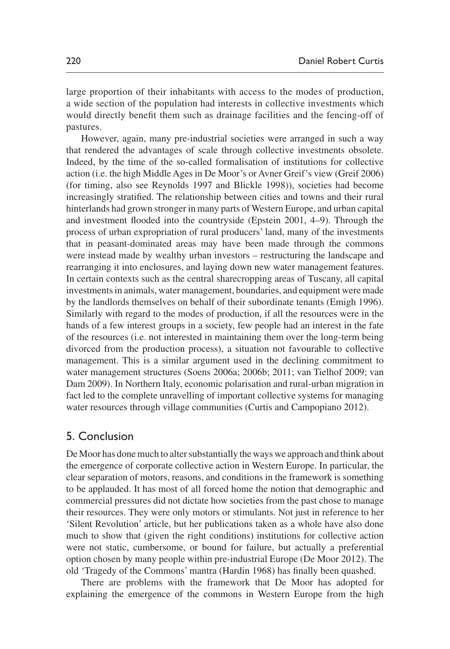large proportion of their inhabitants with access to the modes of production, a wide section of the population had interests in collective investments which would directly benefit them such as drainage facilities and the fencing-off of pastures.

However, again, many pre-industrial societies were arranged in such a way that rendered the advantages of scale through collective investments obsolete. Indeed, by the time of the so-called formalisation of institutions for collective action (i.e. the high Middle Ages in De Moor's or Avner Greif's view [\(Greif 2006\)](#page-15-12) (for timing, also see [Reynolds 1997](#page-18-13) and [Blickle 1998\)](#page-13-14)), societies had become increasingly stratified. The relationship between cities and towns and their rural hinterlands had grown stronger in many parts of Western Europe, and urban capital and investment flooded into the countryside [\(Epstein 2001,](#page-15-13) 4–9). Through the process of urban expropriation of rural producers' land, many of the investments that in peasant-dominated areas may have been made through the commons were instead made by wealthy urban investors – restructuring the landscape and rearranging it into enclosures, and laying down new water management features. In certain contexts such as the central sharecropping areas of Tuscany, all capital investments in animals, water management, boundaries, and equipment were made by the landlords themselves on behalf of their subordinate tenants [\(Emigh 1996\)](#page-15-14). Similarly with regard to the modes of production, if all the resources were in the hands of a few interest groups in a society, few people had an interest in the fate of the resources (i.e. not interested in maintaining them over the long-term being divorced from the production process), a situation not favourable to collective management. This is a similar argument used in the declining commitment to water management structures ([Soens 2006a](#page-18-14); [2006b](#page-18-15); [2011](#page-18-11); [van Tielhof 2009](#page-19-13); [van](#page-19-14) [Dam 2009\)](#page-19-14). In Northern Italy, economic polarisation and rural-urban migration in fact led to the complete unravelling of important collective systems for managing water resources through village communities ([Curtis and Campopiano 2012](#page-14-14)).

#### 5. Conclusion

De Moor has done much to alter substantially the ways we approach and think about the emergence of corporate collective action in Western Europe. In particular, the clear separation of motors, reasons, and conditions in the framework is something to be applauded. It has most of all forced home the notion that demographic and commercial pressures did not dictate how societies from the past chose to manage their resources. They were only motors or stimulants. Not just in reference to her 'Silent Revolution' article, but her publications taken as a whole have also done much to show that (given the right conditions) institutions for collective action were not static, cumbersome, or bound for failure, but actually a preferential option chosen by many people within pre-industrial Europe ([De Moor 2012](#page-15-15)). The old 'Tragedy of the Commons' mantra [\(Hardin 1968](#page-15-16)) has finally been quashed.

There are problems with the framework that De Moor has adopted for explaining the emergence of the commons in Western Europe from the high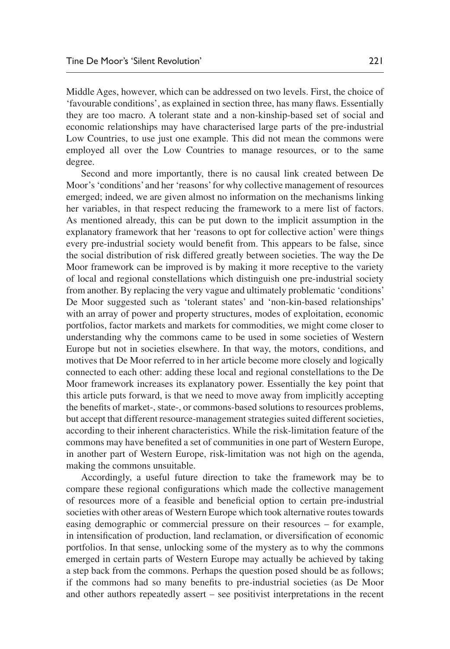Middle Ages, however, which can be addressed on two levels. First, the choice of 'favourable conditions', as explained in section three, has many flaws. Essentially they are too macro. A tolerant state and a non-kinship-based set of social and economic relationships may have characterised large parts of the pre-industrial Low Countries, to use just one example. This did not mean the commons were employed all over the Low Countries to manage resources, or to the same degree.

Second and more importantly, there is no causal link created between De Moor's 'conditions' and her 'reasons' for why collective management of resources emerged; indeed, we are given almost no information on the mechanisms linking her variables, in that respect reducing the framework to a mere list of factors. As mentioned already, this can be put down to the implicit assumption in the explanatory framework that her 'reasons to opt for collective action' were things every pre-industrial society would benefit from. This appears to be false, since the social distribution of risk differed greatly between societies. The way the De Moor framework can be improved is by making it more receptive to the variety of local and regional constellations which distinguish one pre-industrial society from another. By replacing the very vague and ultimately problematic 'conditions' De Moor suggested such as 'tolerant states' and 'non-kin-based relationships' with an array of power and property structures, modes of exploitation, economic portfolios, factor markets and markets for commodities, we might come closer to understanding why the commons came to be used in some societies of Western Europe but not in societies elsewhere. In that way, the motors, conditions, and motives that De Moor referred to in her article become more closely and logically connected to each other: adding these local and regional constellations to the De Moor framework increases its explanatory power. Essentially the key point that this article puts forward, is that we need to move away from implicitly accepting the benefits of market-, state-, or commons-based solutions to resources problems, but accept that different resource-management strategies suited different societies, according to their inherent characteristics. While the risk-limitation feature of the commons may have benefited a set of communities in one part of Western Europe, in another part of Western Europe, risk-limitation was not high on the agenda, making the commons unsuitable.

Accordingly, a useful future direction to take the framework may be to compare these regional configurations which made the collective management of resources more of a feasible and beneficial option to certain pre-industrial societies with other areas of Western Europe which took alternative routes towards easing demographic or commercial pressure on their resources – for example, in intensification of production, land reclamation, or diversification of economic portfolios. In that sense, unlocking some of the mystery as to why the commons emerged in certain parts of Western Europe may actually be achieved by taking a step back from the commons. Perhaps the question posed should be as follows; if the commons had so many benefits to pre-industrial societies (as De Moor and other authors repeatedly assert – see positivist interpretations in the recent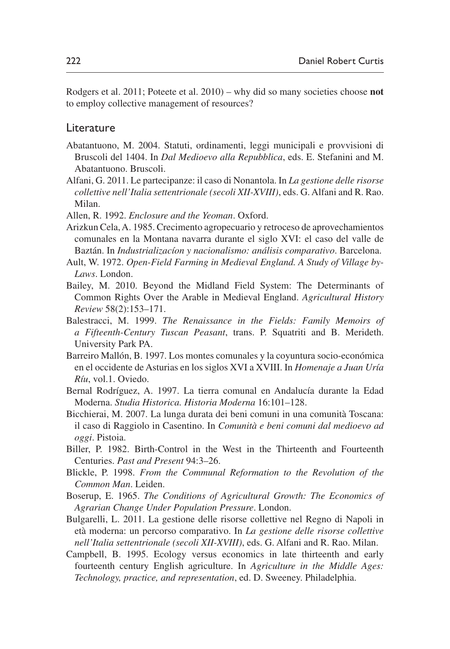[Rodgers et al. 2011;](#page-18-16) [Poteete et al. 2010](#page-18-17)) – why did so many societies choose **not**  to employ collective management of resources?

#### **Literature**

- <span id="page-13-6"></span>Abatantuono, M. 2004. Statuti, ordinamenti, leggi municipali e provvisioni di Bruscoli del 1404. In *Dal Medioevo alla Repubblica*, eds. E. Stefanini and M. Abatantuono. Bruscoli.
- <span id="page-13-8"></span>Alfani, G. 2011. Le partecipanze: il caso di Nonantola. In *La gestione delle risorse collettive nell'Italia settentrionale (secoli XII-XVIII)*, eds. G. Alfani and R. Rao. Milan.
- <span id="page-13-13"></span>Allen, R. 1992. *Enclosure and the Yeoman*. Oxford.
- <span id="page-13-11"></span>Arizkun Cela, A. 1985. Crecimento agropecuario y retroceso de aprovechamientos comunales en la Montana navarra durante el siglo XVI: el caso del valle de Baztán. In *Industrializacíon y nacionalismo: análisis comparativo*. Barcelona.
- <span id="page-13-3"></span>Ault, W. 1972. *Open-Field Farming in Medieval England. A Study of Village by-Laws*. London.
- <span id="page-13-2"></span>Bailey, M. 2010. Beyond the Midland Field System: The Determinants of Common Rights Over the Arable in Medieval England. *Agricultural History Review* 58(2):153–171.
- <span id="page-13-7"></span>Balestracci, M. 1999. *The Renaissance in the Fields: Family Memoirs of a Fifteenth-Century Tuscan Peasant*, trans. P. Squatriti and B. Merideth. University Park PA.
- <span id="page-13-12"></span>Barreiro Mallón, B. 1997. Los montes comunales y la coyuntura socio-económica en el occidente de Asturias en los siglos XVI a XVIII. In *Homenaje a Juan Uría Ríu*, vol.1. Oviedo.
- <span id="page-13-10"></span>Bernal Rodríguez, A. 1997. La tierra comunal en Andalucía durante la Edad Moderna. *Studia Historica. Historia Moderna* 16:101–128.
- <span id="page-13-5"></span>Bicchierai, M. 2007. La lunga durata dei beni comuni in una comunità Toscana: il caso di Raggiolo in Casentino. In *Comunità e beni comuni dal medioevo ad oggi*. Pistoia.
- <span id="page-13-1"></span>Biller, P. 1982. Birth-Control in the West in the Thirteenth and Fourteenth Centuries. *Past and Present* 94:3–26.
- <span id="page-13-14"></span>Blickle, P. 1998. *From the Communal Reformation to the Revolution of the Common Man*. Leiden.
- <span id="page-13-0"></span>Boserup, E. 1965. *The Conditions of Agricultural Growth: The Economics of Agrarian Change Under Population Pressure*. London.
- <span id="page-13-9"></span>Bulgarelli, L. 2011. La gestione delle risorse collettive nel Regno di Napoli in età moderna: un percorso comparativo. In *La gestione delle risorse collettive nell'Italia settentrionale (secoli XII-XVIII)*, eds. G. Alfani and R. Rao. Milan.
- <span id="page-13-4"></span>Campbell, B. 1995. Ecology versus economics in late thirteenth and early fourteenth century English agriculture. In *Agriculture in the Middle Ages: Technology, practice, and representation*, ed. D. Sweeney. Philadelphia.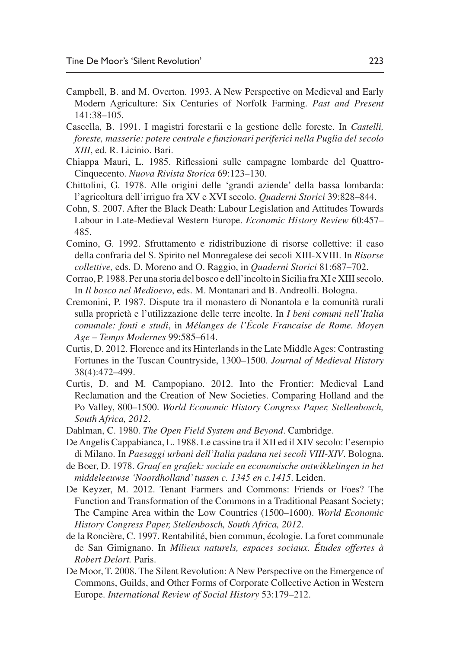- <span id="page-14-0"></span>Campbell, B. and M. Overton. 1993. A New Perspective on Medieval and Early Modern Agriculture: Six Centuries of Norfolk Farming. *Past and Present* 141:38–105.
- <span id="page-14-12"></span>Cascella, B. 1991. I magistri forestarii e la gestione delle foreste. In *Castelli, foreste, masserie: potere centrale e funzionari periferici nella Puglia del secolo XIII*, ed. R. Licinio. Bari.
- <span id="page-14-5"></span>Chiappa Mauri, L. 1985. Riflessioni sulle campagne lombarde del Quattro-Cinquecento. *Nuova Rivista Storica* 69:123–130.
- <span id="page-14-8"></span>Chittolini, G. 1978. Alle origini delle 'grandi aziende' della bassa lombarda: l'agricoltura dell'irriguo fra XV e XVI secolo. *Quaderni Storici* 39:828–844.
- <span id="page-14-1"></span>Cohn, S. 2007. After the Black Death: Labour Legislation and Attitudes Towards Labour in Late-Medieval Western Europe. *Economic History Review* 60:457– 485.
- <span id="page-14-6"></span>Comino, G. 1992. Sfruttamento e ridistribuzione di risorse collettive: il caso della confraria del S. Spirito nel Monregalese dei secoli XIII-XVIII. In *Risorse collettive,* eds. D. Moreno and O. Raggio, in *Quaderni Storici* 81:687–702.
- <span id="page-14-11"></span>Corrao, P. 1988. Per una storia del bosco e dell'incolto in Sicilia fra XI e XIII secolo. In *Il bosco nel Medioevo*, eds. M. Montanari and B. Andreolli. Bologna.
- <span id="page-14-9"></span>Cremonini, P. 1987. Dispute tra il monastero di Nonantola e la comunità rurali sulla proprietà e l'utilizzazione delle terre incolte. In *I beni comuni nell'Italia comunale: fonti e studi*, in *Mélanges de l'École Francaise de Rome. Moyen Age – Temps Modernes* 99:585–614.
- <span id="page-14-4"></span>Curtis, D. 2012. Florence and its Hinterlands in the Late Middle Ages: Contrasting Fortunes in the Tuscan Countryside, 1300–1500. *Journal of Medieval History* 38(4):472–499.
- <span id="page-14-14"></span>Curtis, D. and M. Campopiano. 2012. Into the Frontier: Medieval Land Reclamation and the Creation of New Societies. Comparing Holland and the Po Valley, 800–1500. *World Economic History Congress Paper, Stellenbosch, South Africa, 2012*.
- <span id="page-14-2"></span>Dahlman, C. 1980. *The Open Field System and Beyond*. Cambridge.
- <span id="page-14-7"></span>De Angelis Cappabianca, L. 1988. Le cassine tra il XII ed il XIV secolo: l'esempio di Milano. In *Paesaggi urbani dell'Italia padana nei secoli VIII-XIV*. Bologna.
- <span id="page-14-13"></span>de Boer, D. 1978. *Graaf en grafiek: sociale en economische ontwikkelingen in het middeleeuwse 'Noordholland' tussen c. 1345 en c.1415*. Leiden.
- <span id="page-14-10"></span>De Keyzer, M. 2012. Tenant Farmers and Commons: Friends or Foes? The Function and Transformation of the Commons in a Traditional Peasant Society; The Campine Area within the Low Countries (1500–1600). *World Economic History Congress Paper, Stellenbosch, South Africa, 2012*.
- <span id="page-14-3"></span>de la Roncière, C. 1997. Rentabilité, bien commun, écologie. La foret communale de San Gimignano. In *Milieux naturels, espaces sociaux. Études offertes à Robert Delort.* Paris.
- De Moor, T. 2008. The Silent Revolution: A New Perspective on the Emergence of Commons, Guilds, and Other Forms of Corporate Collective Action in Western Europe. *International Review of Social History* 53:179–212.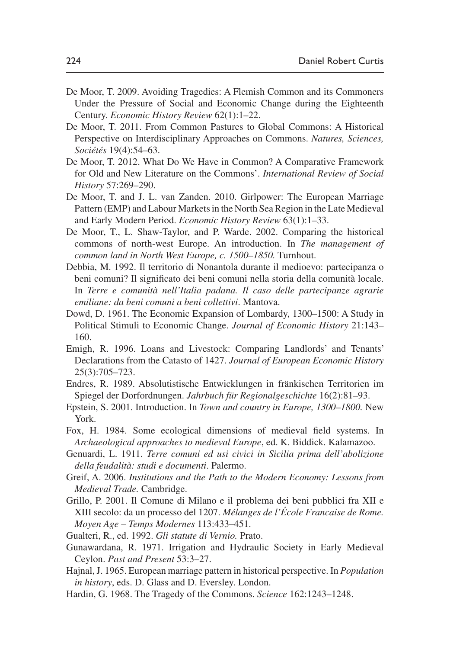- <span id="page-15-11"></span>De Moor, T. 2009. Avoiding Tragedies: A Flemish Common and its Commoners Under the Pressure of Social and Economic Change during the Eighteenth Century. *Economic History Review* 62(1):1–22.
- <span id="page-15-3"></span>De Moor, T. 2011. From Common Pastures to Global Commons: A Historical Perspective on Interdisciplinary Approaches on Commons. *Natures, Sciences, Sociétés* 19(4):54–63.
- <span id="page-15-15"></span>De Moor, T. 2012. What Do We Have in Common? A Comparative Framework for Old and New Literature on the Commons'. *International Review of Social History* 57:269–290.
- <span id="page-15-9"></span>De Moor, T. and J. L. van Zanden. 2010. Girlpower: The European Marriage Pattern (EMP) and Labour Markets in the North Sea Region in the Late Medieval and Early Modern Period. *Economic History Review* 63(1):1–33.
- <span id="page-15-0"></span>De Moor, T., L. Shaw-Taylor, and P. Warde. 2002. Comparing the historical commons of north-west Europe. An introduction. In *The management of common land in North West Europe, c. 1500–1850.* Turnhout.
- <span id="page-15-8"></span>Debbia, M. 1992. Il territorio di Nonantola durante il medioevo: partecipanza o beni comuni? Il significato dei beni comuni nella storia della comunità locale. In *Terre e comunità nell'Italia padana. Il caso delle partecipanze agrarie emiliane: da beni comuni a beni collettivi*. Mantova.
- <span id="page-15-7"></span>Dowd, D. 1961. The Economic Expansion of Lombardy, 1300–1500: A Study in Political Stimuli to Economic Change. *Journal of Economic History* 21:143– 160.
- <span id="page-15-14"></span>Emigh, R. 1996. Loans and Livestock: Comparing Landlords' and Tenants' Declarations from the Catasto of 1427. *Journal of European Economic History* 25(3):705–723.
- <span id="page-15-2"></span>Endres, R. 1989. Absolutistische Entwicklungen in fränkischen Territorien im Spiegel der Dorfordnungen. *Jahrbuch für Regionalgeschichte* 16(2):81–93.
- <span id="page-15-13"></span>Epstein, S. 2001. Introduction. In *Town and country in Europe, 1300–1800.* New York.
- <span id="page-15-4"></span>Fox, H. 1984. Some ecological dimensions of medieval field systems. In *Archaeological approaches to medieval Europe*, ed. K. Biddick. Kalamazoo.
- <span id="page-15-10"></span>Genuardi, L. 1911. *Terre comuni ed usi civici in Sicilia prima dell'abolizione della feudalità: studi e documenti*. Palermo.
- <span id="page-15-12"></span>Greif, A. 2006. *Institutions and the Path to the Modern Economy: Lessons from Medieval Trade.* Cambridge.
- <span id="page-15-6"></span>Grillo, P. 2001. Il Comune di Milano e il problema dei beni pubblici fra XII e XIII secolo: da un processo del 1207. *Mélanges de l'École Francaise de Rome. Moyen Age – Temps Modernes* 113:433–451.

<span id="page-15-5"></span>Gualteri, R., ed. 1992. *Gli statute di Vernio.* Prato.

- <span id="page-15-1"></span>Gunawardana, R. 1971. Irrigation and Hydraulic Society in Early Medieval Ceylon. *Past and Present* 53:3–27.
- Hajnal, J. 1965. European marriage pattern in historical perspective. In *Population in history*, eds. D. Glass and D. Eversley. London.
- <span id="page-15-16"></span>Hardin, G. 1968. The Tragedy of the Commons. *Science* 162:1243–1248.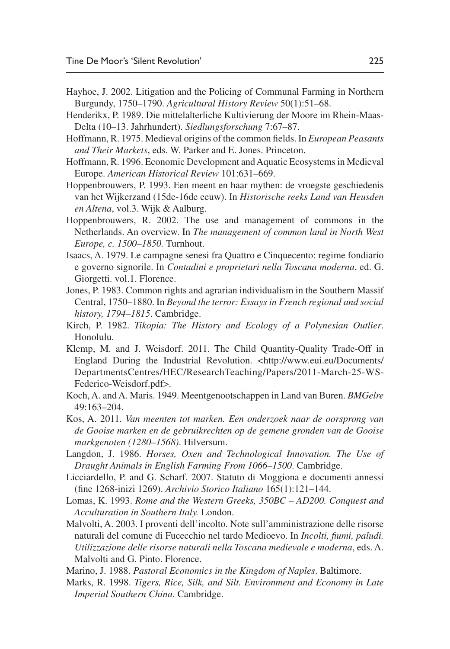- <span id="page-16-3"></span>Hayhoe, J. 2002. Litigation and the Policing of Communal Farming in Northern Burgundy, 1750–1790. *Agricultural History Review* 50(1):51–68.
- <span id="page-16-14"></span>Henderikx, P. 1989. Die mittelalterliche Kultivierung der Moore im Rhein-Maas-Delta (10–13. Jahrhundert). *Siedlungsforschung* 7:67–87.
- <span id="page-16-2"></span>Hoffmann, R. 1975. Medieval origins of the common fields. In *European Peasants and Their Markets*, eds. W. Parker and E. Jones. Princeton.
- <span id="page-16-13"></span>Hoffmann, R. 1996. Economic Development and Aquatic Ecosystems in Medieval Europe. *American Historical Review* 101:631–669.
- <span id="page-16-11"></span>Hoppenbrouwers, P. 1993. Een meent en haar mythen: de vroegste geschiedenis van het Wijkerzand (15de-16de eeuw). In *Historische reeks Land van Heusden en Altena*, vol.3. Wijk & Aalburg.
- <span id="page-16-8"></span>Hoppenbrouwers, R. 2002. The use and management of commons in the Netherlands. An overview. In *The management of common land in North West Europe, c. 1500–1850.* Turnhout.
- <span id="page-16-6"></span>Isaacs, A. 1979. Le campagne senesi fra Quattro e Cinquecento: regime fondiario e governo signorile. In *Contadini e proprietari nella Toscana moderna*, ed. G. Giorgetti. vol.1. Florence.
- <span id="page-16-7"></span>Jones, P. 1983. Common rights and agrarian individualism in the Southern Massif Central, 1750–1880. In *Beyond the terror: Essays in French regional and social history, 1794–1815*. Cambridge.
- <span id="page-16-1"></span>Kirch, P. 1982. *Tikopia: The History and Ecology of a Polynesian Outlier*. Honolulu.
- <span id="page-16-0"></span>Klemp, M. and J. Weisdorf. 2011. The Child Quantity-Quality Trade-Off in England During the Industrial Revolution. <http://www.eui.eu/Documents/ DepartmentsCentres/HEC/ResearchTeaching/Papers/2011-March-25-WS-Federico-Weisdorf.pdf>.
- <span id="page-16-16"></span>Koch, A. and A. Maris. 1949. Meentgenootschappen in Land van Buren. *BMGelre*  $49.163 - 204$
- <span id="page-16-12"></span>Kos, A. 2011. *Van meenten tot marken. Een onderzoek naar de oorsprong van de Gooise marken en de gebruikrechten op de gemene gronden van de Gooise markgenoten (1280–1568)*. Hilversum.
- <span id="page-16-17"></span>Langdon, J. 1986. *Horses, Oxen and Technological Innovation. The Use of Draught Animals in English Farming From 1066–1500*. Cambridge.
- <span id="page-16-4"></span>Licciardello, P. and G. Scharf. 2007. Statuto di Moggiona e documenti annessi (fine 1268-inizi 1269). *Archivio Storico Italiano* 165(1):121–144.
- <span id="page-16-10"></span>Lomas, K. 1993. *Rome and the Western Greeks, 350BC – AD200. Conquest and Acculturation in Southern Italy.* London.
- <span id="page-16-5"></span>Malvolti, A. 2003. I proventi dell'incolto. Note sull'amministrazione delle risorse naturali del comune di Fucecchio nel tardo Medioevo. In *Incolti, fiumi, paludi. Utilizzazione delle risorse naturali nella Toscana medievale e moderna*, eds. A. Malvolti and G. Pinto. Florence.
- <span id="page-16-9"></span>Marino, J. 1988. *Pastoral Economics in the Kingdom of Naples*. Baltimore.
- <span id="page-16-15"></span>Marks, R. 1998. *Tigers, Rice, Silk, and Silt. Environment and Economy in Late Imperial Southern China*. Cambridge.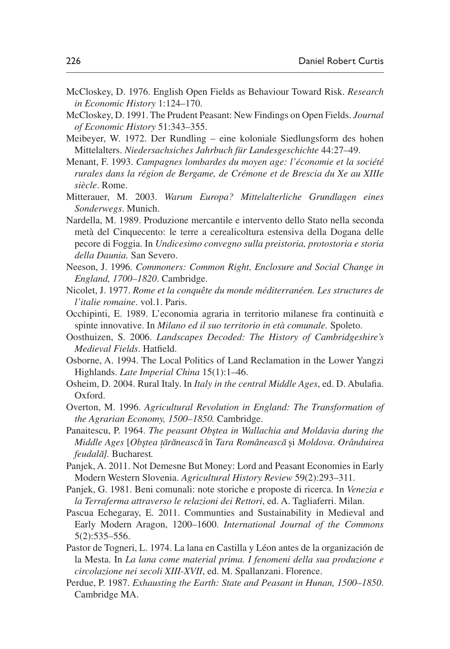- <span id="page-17-2"></span>McCloskey, D. 1976. English Open Fields as Behaviour Toward Risk. *Research in Economic History* 1:124–170.
- <span id="page-17-3"></span>McCloskey, D. 1991. The Prudent Peasant: New Findings on Open Fields. *Journal of Economic History* 51:343–355.
- <span id="page-17-1"></span>Meibeyer, W. 1972. Der Rundling – eine koloniale Siedlungsform des hohen Mittelalters. *Niedersachsiches Jahrbuch für Landesgeschichte* 44:27–49.
- <span id="page-17-6"></span>Menant, F. 1993. *Campagnes lombardes du moyen age: l'économie et la société rurales dans la région de Bergame, de Crémone et de Brescia du Xe au XIIIe siècle*. Rome.
- <span id="page-17-8"></span>Mitterauer, M. 2003. *Warum Europa? Mittelalterliche Grundlagen eines Sonderwegs*. Munich.
- <span id="page-17-9"></span>Nardella, M. 1989. Produzione mercantile e intervento dello Stato nella seconda metà del Cinquecento: le terre a cerealicoltura estensiva della Dogana delle pecore di Foggia. In *Undicesimo convegno sulla preistoria, protostoria e storia della Daunia.* San Severo.
- <span id="page-17-18"></span>Neeson, J. 1996. *Commoners: Common Right, Enclosure and Social Change in England, 1700–1820*. Cambridge.
- <span id="page-17-10"></span>Nicolet, J. 1977. *Rome et la conquête du monde méditerranéen. Les structures de l'italie romaine*. vol.1. Paris.
- <span id="page-17-7"></span>Occhipinti, E. 1989. L'economia agraria in territorio milanese fra continuità e spinte innovative. In *Milano ed il suo territorio in età comunale.* Spoleto.
- <span id="page-17-0"></span>Oosthuizen, S. 2006. *Landscapes Decoded: The History of Cambridgeshire's Medieval Fields*. Hatfield.
- <span id="page-17-15"></span>Osborne, A. 1994. The Local Politics of Land Reclamation in the Lower Yangzi Highlands. *Late Imperial China* 15(1):1–46.
- <span id="page-17-4"></span>Osheim, D. 2004. Rural Italy. In *Italy in the central Middle Ages*, ed. D. Abulafia. Oxford.
- <span id="page-17-17"></span>Overton, M. 1996. *Agricultural Revolution in England: The Transformation of the Agrarian Economy, 1500–1850.* Cambridge.
- <span id="page-17-13"></span>Panaitescu, P. 1964. *The peasant Obstea in Wallachia and Moldavia during the Middle Ages* [*Obs¸tea t,a˘ra˘neasca˘* în *Tara Româneasca˘* s*¸*i *Moldova*. *Orânduirea feudala˘].* Bucharest*.*
- <span id="page-17-14"></span>Panjek, A. 2011. Not Demesne But Money: Lord and Peasant Economies in Early Modern Western Slovenia. *Agricultural History Review* 59(2):293–311.
- <span id="page-17-5"></span>Panjek, G. 1981. Beni comunali: note storiche e proposte di ricerca. In *Venezia e la Terraferma attraverso le relazioni dei Rettori*, ed. A. Tagliaferri. Milan.
- <span id="page-17-12"></span>Pascua Echegaray, E. 2011. Communties and Sustainability in Medieval and Early Modern Aragon, 1200–1600. *International Journal of the Commons* 5(2):535–556.
- <span id="page-17-11"></span>Pastor de Togneri, L. 1974. La lana en Castilla y Léon antes de la organización de la Mesta. In *La lana come material prima. I fenomeni della sua produzione e circolazione nei secoli XIII-XVII*, ed. M. Spallanzani. Florence.
- <span id="page-17-16"></span>Perdue, P. 1987. *Exhausting the Earth: State and Peasant in Hunan, 1500–1850*. Cambridge MA.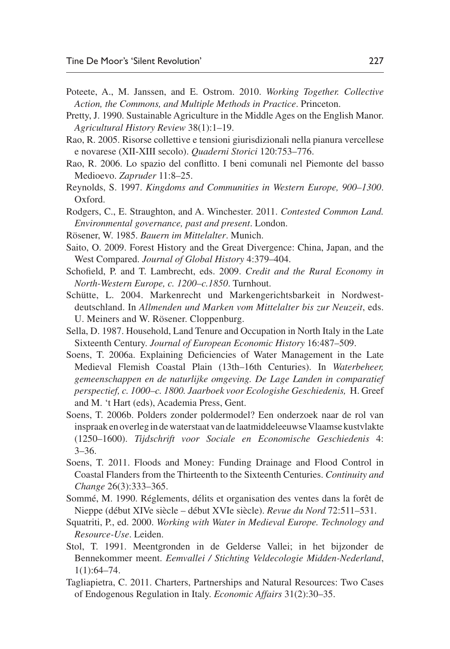- <span id="page-18-17"></span>Poteete, A., M. Janssen, and E. Ostrom. 2010. *Working Together. Collective Action, the Commons, and Multiple Methods in Practice*. Princeton.
- <span id="page-18-3"></span>Pretty, J. 1990. Sustainable Agriculture in the Middle Ages on the English Manor. *Agricultural History Review* 38(1):1–19.
- <span id="page-18-6"></span>Rao, R. 2005. Risorse collettive e tensioni giurisdizionali nella pianura vercellese e novarese (XII-XIII secolo). *Quaderni Storici* 120:753–776.
- <span id="page-18-7"></span>Rao, R. 2006. Lo spazio del conflitto. I beni comunali nel Piemonte del basso Medioevo. *Zapruder* 11:8–25.
- <span id="page-18-13"></span>Reynolds, S. 1997. *Kingdoms and Communities in Western Europe, 900–1300*. Oxford.
- <span id="page-18-16"></span>Rodgers, C., E. Straughton, and A. Winchester. 2011. *Contested Common Land. Environmental governance, past and present*. London.
- <span id="page-18-2"></span>Rösener, W. 1985. *Bauern im Mittelalter*. Munich.
- <span id="page-18-1"></span>Saito, O. 2009. Forest History and the Great Divergence: China, Japan, and the West Compared. *Journal of Global History* 4:379–404.
- <span id="page-18-12"></span>Schofield, P. and T. Lambrecht, eds. 2009. *Credit and the Rural Economy in North-Western Europe, c. 1200–c.1850*. Turnhout.
- <span id="page-18-5"></span>Schütte, L. 2004. Markenrecht und Markengerichtsbarkeit in Nordwestdeutschland. In *Allmenden und Marken vom Mittelalter bis zur Neuzeit*, eds. U. Meiners and W. Rösener. Cloppenburg.
- <span id="page-18-8"></span>Sella, D. 1987. Household, Land Tenure and Occupation in North Italy in the Late Sixteenth Century. *Journal of European Economic History* 16:487–509.
- <span id="page-18-14"></span>Soens, T. 2006a. Explaining Deficiencies of Water Management in the Late Medieval Flemish Coastal Plain (13th–16th Centuries). In *Waterbeheer, gemeenschappen en de naturlijke omgeving. De Lage Landen in comparatief perspectief, c. 1000–c. 1800. Jaarboek voor Ecologishe Geschiedenis,* H. Greef and M. 't Hart (eds), Academia Press, Gent.
- <span id="page-18-15"></span>Soens, T. 2006b. Polders zonder poldermodel? Een onderzoek naar de rol van inspraak en overleg in de waterstaat van de laatmiddeleeuwse Vlaamse kustvlakte (1250–1600). *Tijdschrift voor Sociale en Economische Geschiedenis* 4: 3–36.
- <span id="page-18-11"></span>Soens, T. 2011. Floods and Money: Funding Drainage and Flood Control in Coastal Flanders from the Thirteenth to the Sixteenth Centuries. *Continuity and Change* 26(3):333–365.
- <span id="page-18-4"></span>Sommé, M. 1990. Réglements, délits et organisation des ventes dans la forêt de Nieppe (début XIVe siècle – début XVIe siècle). *Revue du Nord* 72:511–531.
- <span id="page-18-0"></span>Squatriti, P., ed. 2000. *Working with Water in Medieval Europe. Technology and Resource-Use*. Leiden.
- <span id="page-18-10"></span>Stol, T. 1991. Meentgronden in de Gelderse Vallei; in het bijzonder de Bennekommer meent. *Eemvallei / Stichting Veldecologie Midden-Nederland*, 1(1):64–74.
- <span id="page-18-9"></span>Tagliapietra, C. 2011. Charters, Partnerships and Natural Resources: Two Cases of Endogenous Regulation in Italy. *Economic Affairs* 31(2):30–35.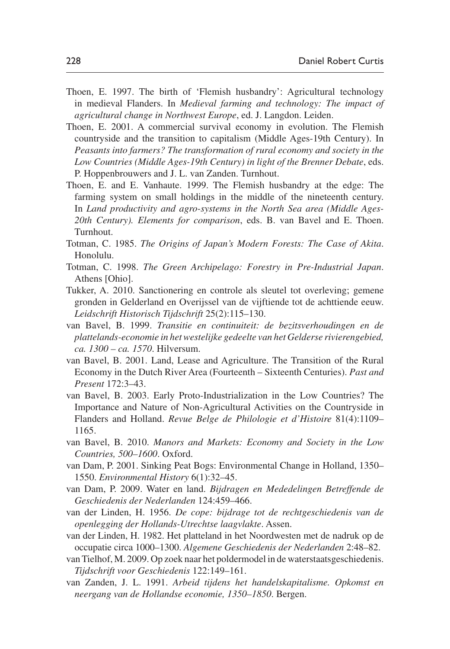- <span id="page-19-9"></span>Thoen, E. 1997. The birth of 'Flemish husbandry': Agricultural technology in medieval Flanders. In *Medieval farming and technology: The impact of agricultural change in Northwest Europe*, ed. J. Langdon. Leiden.
- Thoen, E. 2001. A commercial survival economy in evolution. The Flemish countryside and the transition to capitalism (Middle Ages-19th Century). In *Peasants into farmers? The transformation of rural economy and society in the Low Countries (Middle Ages-19th Century) in light of the Brenner Debate*, eds. P. Hoppenbrouwers and J. L. van Zanden. Turnhout.
- <span id="page-19-10"></span>Thoen, E. and E. Vanhaute. 1999. The Flemish husbandry at the edge: The farming system on small holdings in the middle of the nineteenth century. In *Land productivity and agro-systems in the North Sea area (Middle Ages-20th Century). Elements for comparison*, eds. B. van Bavel and E. Thoen. Turnhout.
- <span id="page-19-2"></span>Totman, C. 1985. *The Origins of Japan's Modern Forests: The Case of Akita*. Honolulu.
- <span id="page-19-3"></span>Totman, C. 1998. *The Green Archipelago: Forestry in Pre-Industrial Japan*. Athens [Ohio].
- <span id="page-19-6"></span>Tukker, A. 2010. Sanctionering en controle als sleutel tot overleving; gemene gronden in Gelderland en Overijssel van de vijftiende tot de achttiende eeuw. *Leidschrift Historisch Tijdschrift* 25(2):115–130.
- <span id="page-19-11"></span>van Bavel, B. 1999. *Transitie en continuiteit: de bezitsverhoudingen en de plattelands-economie in het westelijke gedeelte van het Gelderse rivierengebied, ca. 1300 – ca. 1570*. Hilversum.
- <span id="page-19-12"></span>van Bavel, B. 2001. Land, Lease and Agriculture. The Transition of the Rural Economy in the Dutch River Area (Fourteenth – Sixteenth Centuries). *Past and Present* 172:3–43.
- <span id="page-19-1"></span>van Bavel, B. 2003. Early Proto-Industrialization in the Low Countries? The Importance and Nature of Non-Agricultural Activities on the Countryside in Flanders and Holland. *Revue Belge de Philologie et d'Histoire* 81(4):1109– 1165.
- <span id="page-19-4"></span>van Bavel, B. 2010. *Manors and Markets: Economy and Society in the Low Countries, 500–1600*. Oxford.
- <span id="page-19-7"></span>van Dam, P. 2001. Sinking Peat Bogs: Environmental Change in Holland, 1350– 1550. *Environmental History* 6(1):32–45.
- <span id="page-19-14"></span>van Dam, P. 2009. Water en land. *Bijdragen en Mededelingen Betreffende de Geschiedenis der Nederlanden* 124:459–466.
- <span id="page-19-5"></span>van der Linden, H. 1956. *De cope: bijdrage tot de rechtgeschiedenis van de openlegging der Hollands-Utrechtse laagvlakte*. Assen.
- <span id="page-19-8"></span>van der Linden, H. 1982. Het platteland in het Noordwesten met de nadruk op de occupatie circa 1000–1300. *Algemene Geschiedenis der Nederlanden* 2:48–82.
- <span id="page-19-13"></span>van Tielhof, M. 2009. Op zoek naar het poldermodel in de waterstaatsgeschiedenis. *Tijdschrift voor Geschiedenis* 122:149–161.
- <span id="page-19-0"></span>van Zanden, J. L. 1991. *Arbeid tijdens het handelskapitalisme. Opkomst en neergang van de Hollandse economie, 1350–1850*. Bergen.